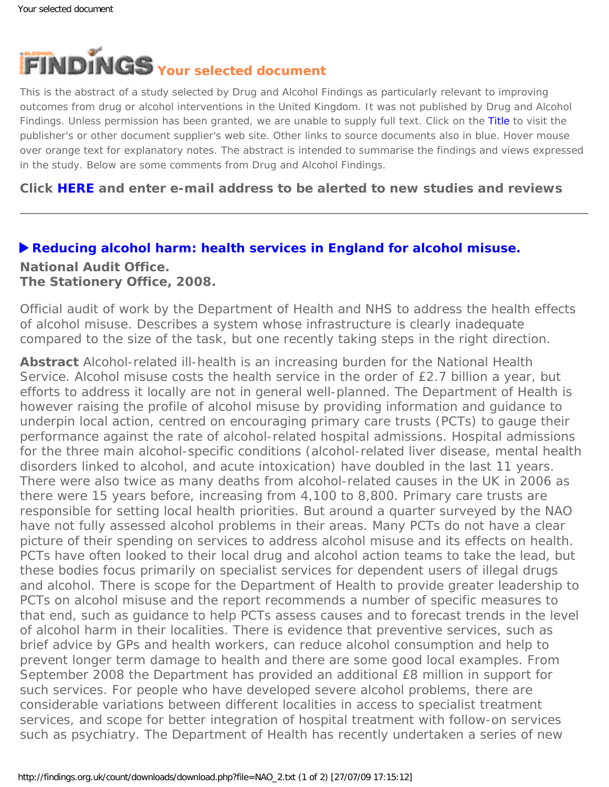

This is the abstract of a study selected by Drug and Alcohol Findings as particularly relevant to improving outcomes from drug or alcohol interventions in the United Kingdom. It was not published by Drug and Alcohol Findings. Unless permission has been granted, we are unable to supply full text. Click on the Title to visit the publisher's or other document supplier's web site. Other links to source documents also in blue. Hover mouse over orange text for explanatory notes. The abstract is intended to summarise the findings and views expressed in the study. Below are some comments from Drug and Alcohol Findings.

## **Click [HERE](https://findings.org.uk/index.php#signUp) and enter e-mail address to be alerted to new studies and reviews**

### **[Reducing alcohol harm: health services in England for alcohol misuse.](http://www.nao.org.uk/publications/nao_reports/07-08/07081049.pdf)**

# **National Audit Office.**

**The Stationery Office, 2008.**

Official audit of work by the Department of Health and NHS to address the health effects of alcohol misuse. Describes a system whose infrastructure is clearly inadequate compared to the size of the task, but one recently taking steps in the right direction.

**Abstract** Alcohol-related ill-health is an increasing burden for the National Health Service. Alcohol misuse costs the health service in the order of £2.7 billion a year, but efforts to address it locally are not in general well-planned. The Department of Health is however raising the profile of alcohol misuse by providing information and guidance to underpin local action, centred on encouraging primary care trusts (PCTs) to gauge their performance against the rate of alcohol-related hospital admissions. Hospital admissions for the three main alcohol-specific conditions (alcohol-related liver disease, mental health disorders linked to alcohol, and acute intoxication) have doubled in the last 11 years. There were also twice as many deaths from alcohol-related causes in the UK in 2006 as there were 15 years before, increasing from 4,100 to 8,800. Primary care trusts are responsible for setting local health priorities. But around a quarter surveyed by the NAO have not fully assessed alcohol problems in their areas. Many PCTs do not have a clear picture of their spending on services to address alcohol misuse and its effects on health. PCTs have often looked to their local drug and alcohol action teams to take the lead, but these bodies focus primarily on specialist services for dependent users of illegal drugs and alcohol. There is scope for the Department of Health to provide greater leadership to PCTs on alcohol misuse and the report recommends a number of specific measures to that end, such as guidance to help PCTs assess causes and to forecast trends in the level of alcohol harm in their localities. There is evidence that preventive services, such as brief advice by GPs and health workers, can reduce alcohol consumption and help to prevent longer term damage to health and there are some good local examples. From September 2008 the Department has provided an additional £8 million in support for such services. For people who have developed severe alcohol problems, there are considerable variations between different localities in access to specialist treatment services, and scope for better integration of hospital treatment with follow-on services such as psychiatry. The Department of Health has recently undertaken a series of new